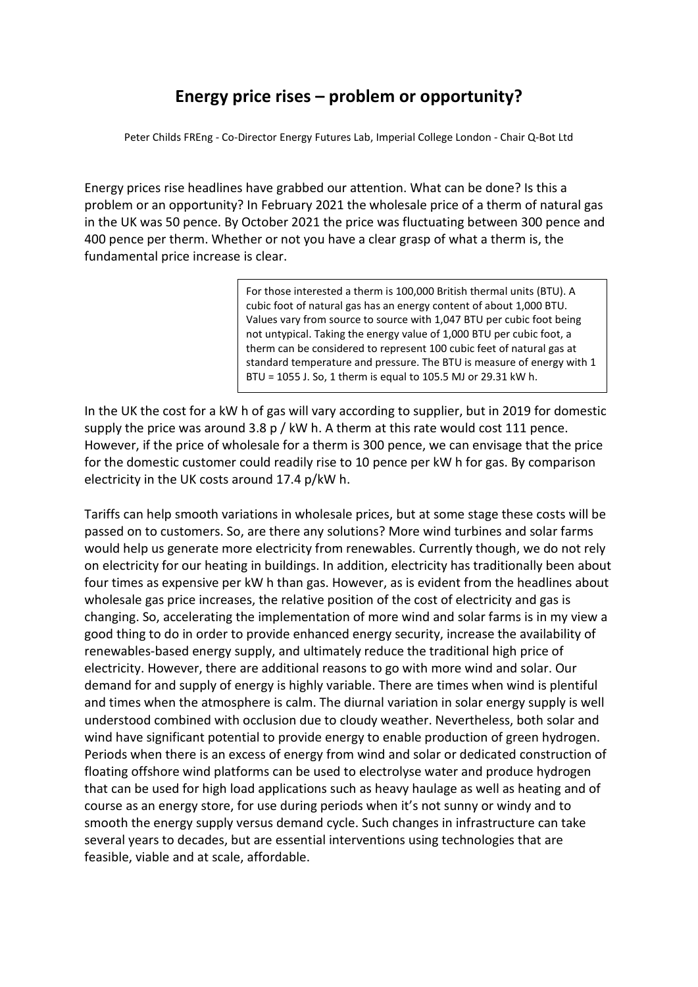## **Energy price rises – problem or opportunity?**

Peter Childs FREng - Co-Director Energy Futures Lab, Imperial College London - Chair Q-Bot Ltd

Energy prices rise headlines have grabbed our attention. What can be done? Is this a problem or an opportunity? In February 2021 the wholesale price of a therm of natural gas in the UK was 50 pence. By October 2021 the price was fluctuating between 300 pence and 400 pence per therm. Whether or not you have a clear grasp of what a therm is, the fundamental price increase is clear.

> For those interested a therm is 100,000 British thermal units (BTU). A cubic foot of natural gas has an energy content of about 1,000 BTU. Values vary from source to source with 1,047 BTU per cubic foot being not untypical. Taking the energy value of 1,000 BTU per cubic foot, a therm can be considered to represent 100 cubic feet of natural gas at standard temperature and pressure. The BTU is measure of energy with 1 BTU = 1055 J. So, 1 therm is equal to 105.5 MJ or 29.31 kW h.

In the UK the cost for a kW h of gas will vary according to supplier, but in 2019 for domestic supply the price was around 3.8 p / kW h. A therm at this rate would cost 111 pence. However, if the price of wholesale for a therm is 300 pence, we can envisage that the price for the domestic customer could readily rise to 10 pence per kW h for gas. By comparison electricity in the UK costs around 17.4 p/kW h.

Tariffs can help smooth variations in wholesale prices, but at some stage these costs will be passed on to customers. So, are there any solutions? More wind turbines and solar farms would help us generate more electricity from renewables. Currently though, we do not rely on electricity for our heating in buildings. In addition, electricity has traditionally been about four times as expensive per kW h than gas. However, as is evident from the headlines about wholesale gas price increases, the relative position of the cost of electricity and gas is changing. So, accelerating the implementation of more wind and solar farms is in my view a good thing to do in order to provide enhanced energy security, increase the availability of renewables-based energy supply, and ultimately reduce the traditional high price of electricity. However, there are additional reasons to go with more wind and solar. Our demand for and supply of energy is highly variable. There are times when wind is plentiful and times when the atmosphere is calm. The diurnal variation in solar energy supply is well understood combined with occlusion due to cloudy weather. Nevertheless, both solar and wind have significant potential to provide energy to enable production of green hydrogen. Periods when there is an excess of energy from wind and solar or dedicated construction of floating offshore wind platforms can be used to electrolyse water and produce hydrogen that can be used for high load applications such as heavy haulage as well as heating and of course as an energy store, for use during periods when it's not sunny or windy and to smooth the energy supply versus demand cycle. Such changes in infrastructure can take several years to decades, but are essential interventions using technologies that are feasible, viable and at scale, affordable.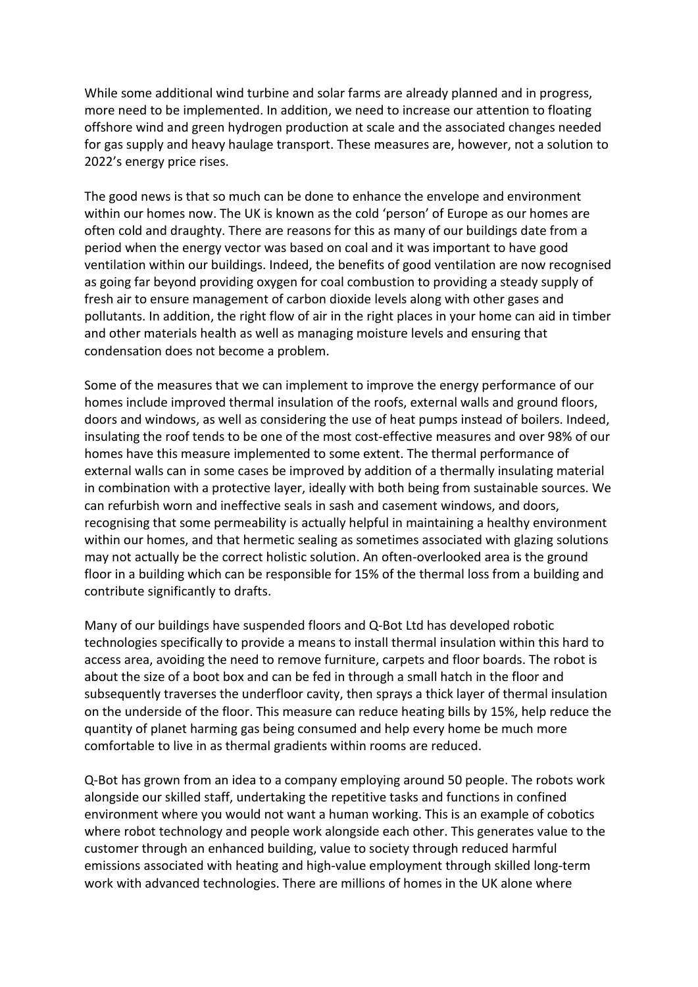While some additional wind turbine and solar farms are already planned and in progress, more need to be implemented. In addition, we need to increase our attention to floating offshore wind and green hydrogen production at scale and the associated changes needed for gas supply and heavy haulage transport. These measures are, however, not a solution to 2022's energy price rises.

The good news is that so much can be done to enhance the envelope and environment within our homes now. The UK is known as the cold 'person' of Europe as our homes are often cold and draughty. There are reasons for this as many of our buildings date from a period when the energy vector was based on coal and it was important to have good ventilation within our buildings. Indeed, the benefits of good ventilation are now recognised as going far beyond providing oxygen for coal combustion to providing a steady supply of fresh air to ensure management of carbon dioxide levels along with other gases and pollutants. In addition, the right flow of air in the right places in your home can aid in timber and other materials health as well as managing moisture levels and ensuring that condensation does not become a problem.

Some of the measures that we can implement to improve the energy performance of our homes include improved thermal insulation of the roofs, external walls and ground floors, doors and windows, as well as considering the use of heat pumps instead of boilers. Indeed, insulating the roof tends to be one of the most cost-effective measures and over 98% of our homes have this measure implemented to some extent. The thermal performance of external walls can in some cases be improved by addition of a thermally insulating material in combination with a protective layer, ideally with both being from sustainable sources. We can refurbish worn and ineffective seals in sash and casement windows, and doors, recognising that some permeability is actually helpful in maintaining a healthy environment within our homes, and that hermetic sealing as sometimes associated with glazing solutions may not actually be the correct holistic solution. An often-overlooked area is the ground floor in a building which can be responsible for 15% of the thermal loss from a building and contribute significantly to drafts.

Many of our buildings have suspended floors and Q-Bot Ltd has developed robotic technologies specifically to provide a means to install thermal insulation within this hard to access area, avoiding the need to remove furniture, carpets and floor boards. The robot is about the size of a boot box and can be fed in through a small hatch in the floor and subsequently traverses the underfloor cavity, then sprays a thick layer of thermal insulation on the underside of the floor. This measure can reduce heating bills by 15%, help reduce the quantity of planet harming gas being consumed and help every home be much more comfortable to live in as thermal gradients within rooms are reduced.

Q-Bot has grown from an idea to a company employing around 50 people. The robots work alongside our skilled staff, undertaking the repetitive tasks and functions in confined environment where you would not want a human working. This is an example of cobotics where robot technology and people work alongside each other. This generates value to the customer through an enhanced building, value to society through reduced harmful emissions associated with heating and high-value employment through skilled long-term work with advanced technologies. There are millions of homes in the UK alone where